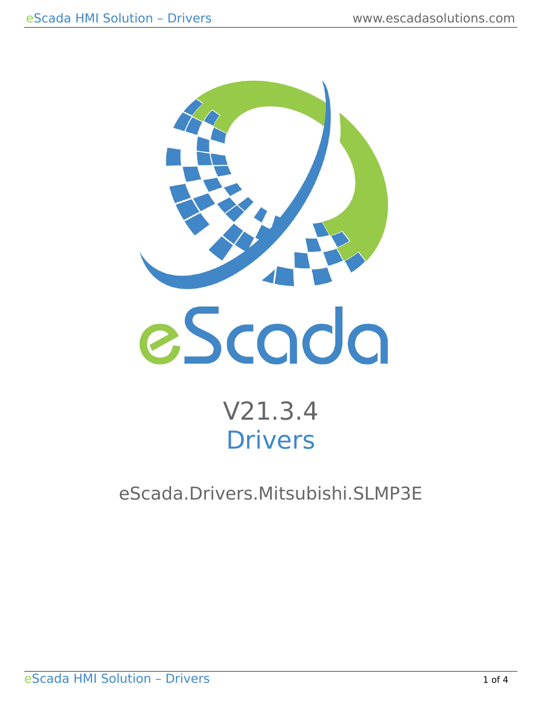

# V21.3.4 Drivers

eScada.Drivers.Mitsubishi.SLMP3E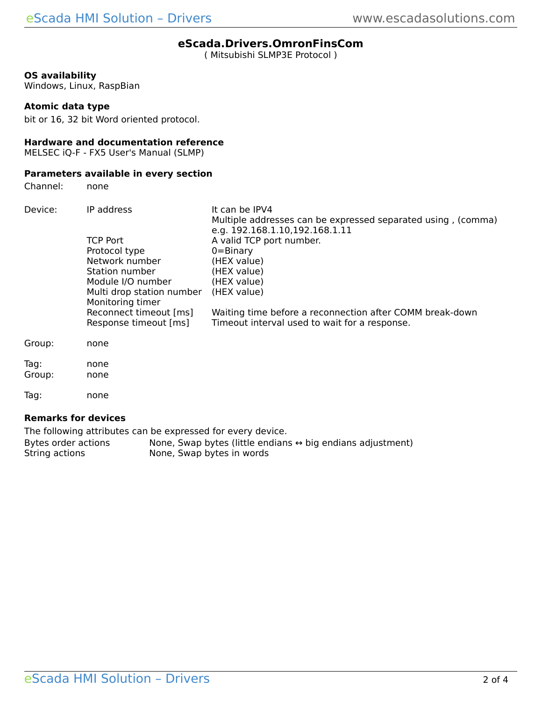# **eScada.Drivers.OmronFinsCom**

( Mitsubishi SLMP3E Protocol )

# **OS availability**

Windows, Linux, RaspBian

### **Atomic data type**

bit or 16, 32 bit Word oriented protocol.

# **Hardware and documentation reference**

MELSEC iQ-F - FX5 User's Manual (SLMP)

# **Parameters available in every section**

Channel: none

| Device:        | IP address<br><b>TCP Port</b><br>Protocol type<br>Network number<br>Station number | It can be IPV4<br>Multiple addresses can be expressed separated using, (comma)<br>e.g. 192.168.1.10,192.168.1.11<br>A valid TCP port number.<br>$0 = \text{Binary}$<br>(HEX value)<br>(HEX value) |  |  |
|----------------|------------------------------------------------------------------------------------|---------------------------------------------------------------------------------------------------------------------------------------------------------------------------------------------------|--|--|
|                | Module I/O number<br>Multi drop station number<br>Monitoring timer                 | (HEX value)<br>(HEX value)                                                                                                                                                                        |  |  |
|                | Reconnect timeout [ms]<br>Response timeout [ms]                                    | Waiting time before a reconnection after COMM break-down<br>Timeout interval used to wait for a response.                                                                                         |  |  |
| Group:         | none                                                                               |                                                                                                                                                                                                   |  |  |
| Tag:<br>Group: | none<br>none                                                                       |                                                                                                                                                                                                   |  |  |
| Tag:           | none                                                                               |                                                                                                                                                                                                   |  |  |

#### **Remarks for devices**

The following attributes can be expressed for every device. Bytes order actions None, Swap bytes (little endians  $\leftrightarrow$  big endians adjustment)<br>String actions None, Swap bytes in words None, Swap bytes in words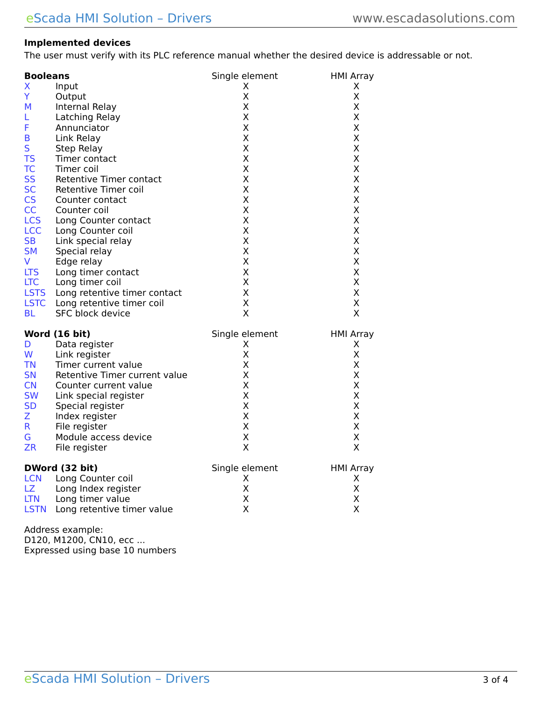# **Implemented devices**

The user must verify with its PLC reference manual whether the desired device is addressable or not.

| <b>Booleans</b>                             | Single element | <b>HMI Array</b> |
|---------------------------------------------|----------------|------------------|
| X<br>Input                                  | X.             | Χ                |
| Ÿ<br>Output                                 | Χ              | X                |
| М<br>Internal Relay                         | Χ              | X                |
| Latching Relay<br>L.                        | Χ              | X                |
| F<br>Annunciator                            | X              | Χ                |
| B<br>Link Relay                             | Χ              | X                |
| S<br>Step Relay                             | X              | Χ                |
| <b>TS</b><br>Timer contact                  | Χ              | X                |
| <b>TC</b><br>Timer coil                     | Χ              | X                |
| <b>SS</b><br>Retentive Timer contact        | X              | X                |
| <b>SC</b><br>Retentive Timer coil           | X              | X                |
| <b>CS</b><br>Counter contact                | X              | X                |
| CC<br>Counter coil                          | X              | Χ                |
| <b>LCS</b><br>Long Counter contact          | Χ              | X                |
| <b>LCC</b><br>Long Counter coil             | X              | Χ                |
| <b>SB</b><br>Link special relay             | X              | X                |
| <b>SM</b><br>Special relay                  | Χ              | Χ                |
| <b>V</b><br>Edge relay                      | X              | Χ                |
| <b>LTS</b><br>Long timer contact            | Χ              | X                |
| <b>LTC</b><br>Long timer coil               | Χ              | Χ                |
| <b>LSTS</b><br>Long retentive timer contact | Χ              | X                |
| <b>LSTC</b><br>Long retentive timer coil    | Χ              | X                |
| <b>BL</b><br>SFC block device               | X              | X                |
| Word (16 bit)                               | Single element | <b>HMI Array</b> |
| Data register<br>D.                         | Χ              | X                |
| W<br>Link register                          | X              | X                |
| <b>TN</b><br>Timer current value            | X              | Χ                |
| <b>SN</b><br>Retentive Timer current value  | X              | X                |
| CN<br>Counter current value                 | X              | X                |
| <b>SW</b><br>Link special register          | Χ              | X                |
| <b>SD</b><br>Special register               | X              | X                |
| Z<br>Index register                         | Χ              | X                |
| $\mathsf{R}$<br>File register               | Χ              | X                |
| G<br>Module access device                   | Χ              | X                |
| <b>ZR</b><br>File register                  | X              | X                |
| DWord (32 bit)                              | Single element | <b>HMI Array</b> |
| <b>LCN</b> Long Counter coil                | X              | X.               |
| LZ Long Index register                      |                |                  |
|                                             | X              | X                |
| <b>LTN</b><br>Long timer value              | X              | Χ                |

Address example: D120, M1200, CN10, ecc ... Expressed using base 10 numbers